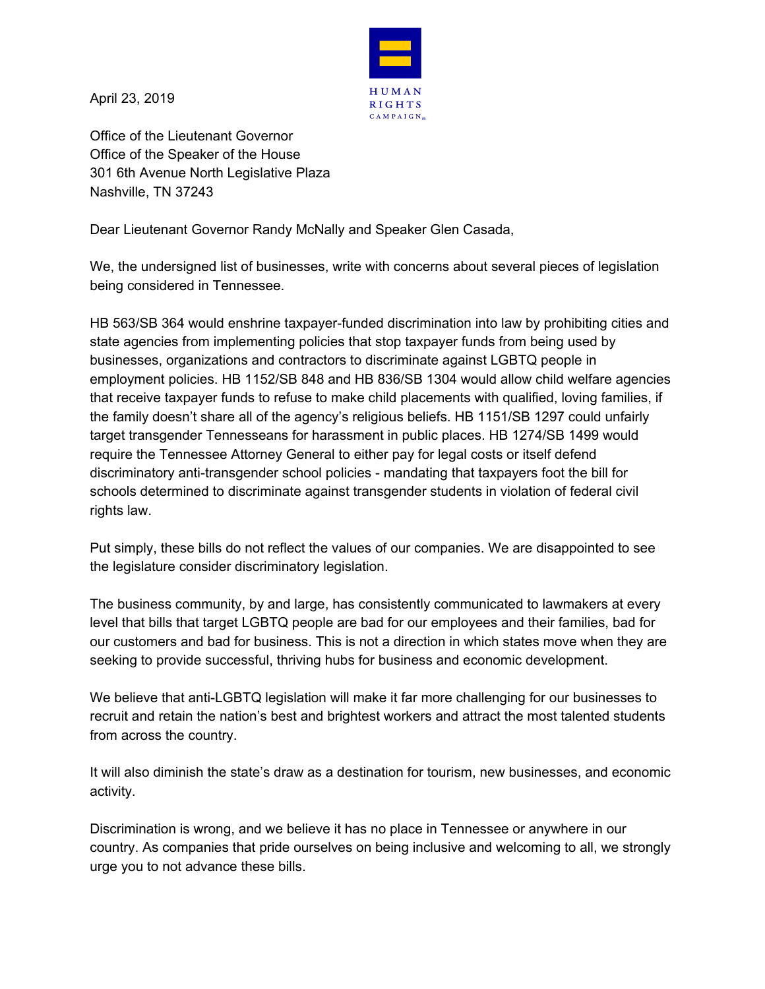

April 23, 2019

Office of the Lieutenant Governor Office of the Speaker of the House 301 6th Avenue North Legislative Plaza Nashville, TN 37243

Dear Lieutenant Governor Randy McNally and Speaker Glen Casada,

We, the undersigned list of businesses, write with concerns about several pieces of legislation being considered in Tennessee.

HB 563/SB 364 would enshrine taxpayer-funded discrimination into law by prohibiting cities and state agencies from implementing policies that stop taxpayer funds from being used by businesses, organizations and contractors to discriminate against LGBTQ people in employment policies. HB 1152/SB 848 and HB 836/SB 1304 would allow child welfare agencies that receive taxpayer funds to refuse to make child placements with qualified, loving families, if the family doesn't share all of the agency's religious beliefs. HB 1151/SB 1297 could unfairly target transgender Tennesseans for harassment in public places. HB 1274/SB 1499 would require the Tennessee Attorney General to either pay for legal costs or itself defend discriminatory anti-transgender school policies - mandating that taxpayers foot the bill for schools determined to discriminate against transgender students in violation of federal civil rights law.

Put simply, these bills do not reflect the values of our companies. We are disappointed to see the legislature consider discriminatory legislation.

The business community, by and large, has consistently communicated to lawmakers at every level that bills that target LGBTQ people are bad for our employees and their families, bad for our customers and bad for business. This is not a direction in which states move when they are seeking to provide successful, thriving hubs for business and economic development.

We believe that anti-LGBTQ legislation will make it far more challenging for our businesses to recruit and retain the nation's best and brightest workers and attract the most talented students from across the country.

It will also diminish the state's draw as a destination for tourism, new businesses, and economic activity.

Discrimination is wrong, and we believe it has no place in Tennessee or anywhere in our country. As companies that pride ourselves on being inclusive and welcoming to all, we strongly urge you to not advance these bills.